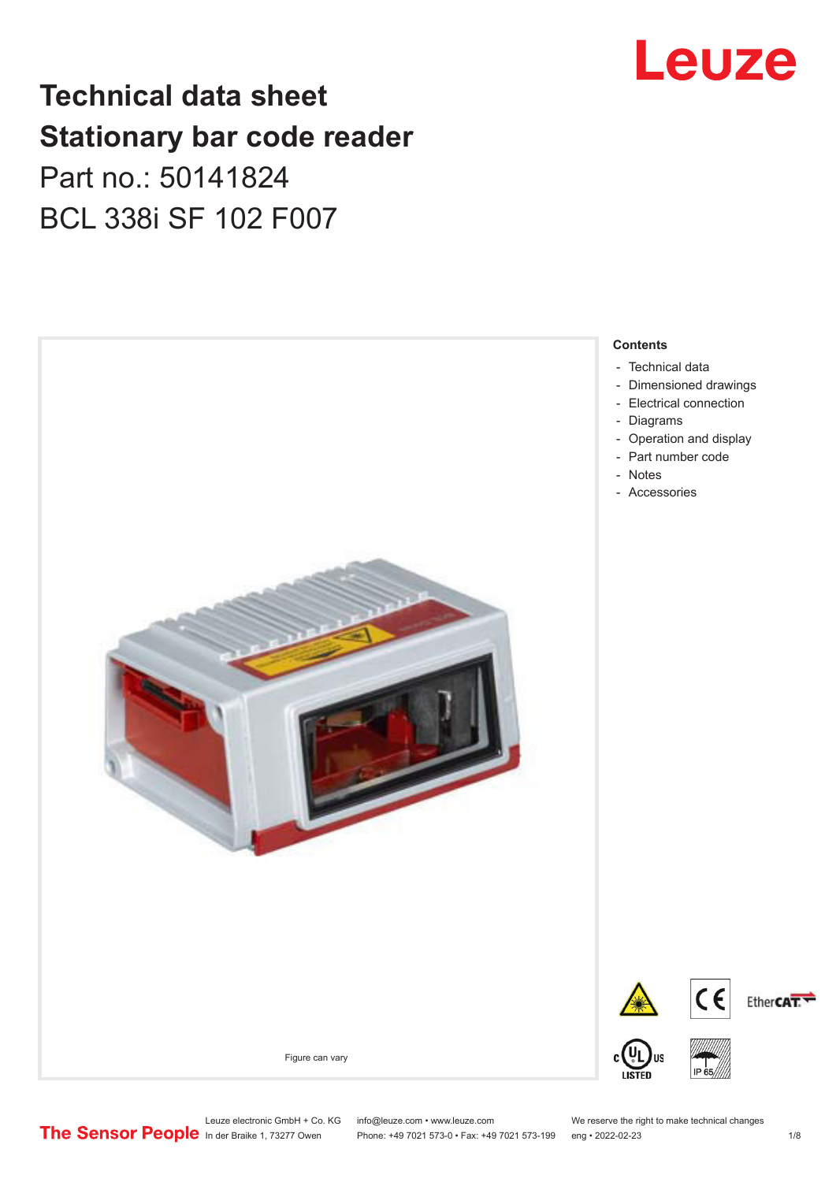## Leuze

### **Technical data sheet Stationary bar code reader** Part no.: 50141824 BCL 338i SF 102 F007



#### **Contents**

- [Technical data](#page-1-0)
- [Dimensioned drawings](#page-2-0)
- [Electrical connection](#page-3-0)
- [Operation and display](#page-3-0)
- [Part number code](#page-4-0)



Leuze electronic GmbH + Co. KG info@leuze.com • www.leuze.com We reserve the right to make technical changes<br>
The Sensor People in der Braike 1, 73277 Owen Phone: +49 7021 573-0 • Fax: +49 7021 573-199 eng • 2022-02-23

Phone: +49 7021 573-0 • Fax: +49 7021 573-199 eng • 2022-02-23 1 /8

Ether**CAT.**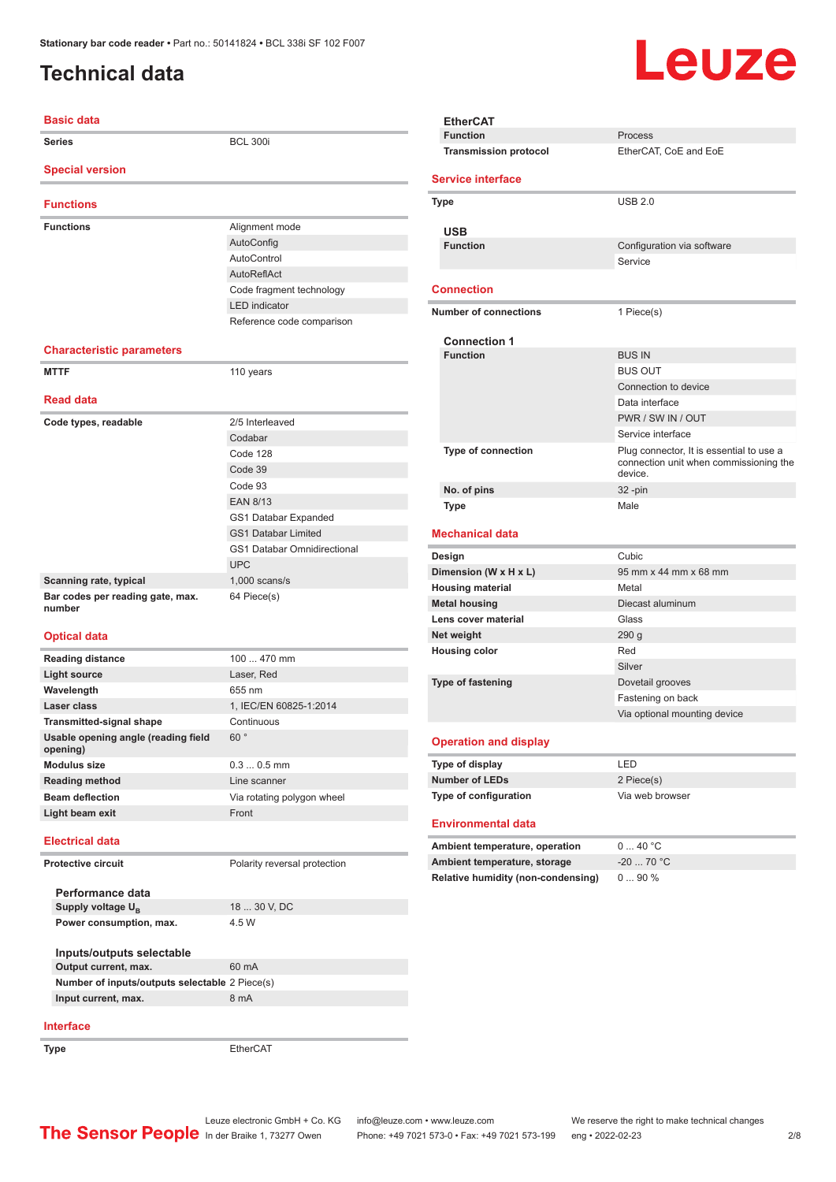### <span id="page-1-0"></span>**Technical data**

#### **Basic data Series** BCL 300i **Special version Functions Functions** Alignment mode AutoConfig AutoControl AutoReflAct Code fragment technology LED indicator Reference code comparison **Characteristic parameters MTTF** 110 years **Read data Code types, readable** 2/5 Interleaved Codabar Code 128 Code 39 Code 93 EAN 8/13 GS1 Databar Expanded GS1 Databar Limited GS1 Databar Omnidirectional UPC **Scanning rate, typical** 1,000 scans/s **Bar codes per reading gate, max. number** 64 Piece(s) **Optical data Reading distance** 100 ... 470 mm **Light source** Laser, Red **Wavelength** 655 nm **Laser class** 1, IEC/EN 60825-1:2014 **Transmitted-signal shape** Continuous **Usable opening angle (reading field opening)** 60 ° **Modulus size** 0.3 ... 0.5 mm **Reading method** Line scanner **Beam deflection** Via rotating polygon wheel **Light beam exit** Front **Electrical data Protective circuit** Polarity reversal protection **Performance data** Supply voltage  $U_B$ 18 ... 30 V, DC **Power consumption, max.** 4.5 W **Inputs/outputs selectable Output current, max.** 60 mA **Number of inputs/outputs selectable** 2 Piece(s) **Input current, max.** 8 mA **Interface Type** EtherCAT

| <b>EtherCAT</b>                    |                                                                                               |  |  |
|------------------------------------|-----------------------------------------------------------------------------------------------|--|--|
| <b>Function</b>                    | Process                                                                                       |  |  |
| <b>Transmission protocol</b>       | EtherCAT, CoE and EoE                                                                         |  |  |
| <b>Service interface</b>           |                                                                                               |  |  |
| <b>Type</b>                        | <b>USB 2.0</b>                                                                                |  |  |
| <b>USB</b>                         |                                                                                               |  |  |
| <b>Function</b>                    | Configuration via software                                                                    |  |  |
|                                    | Service                                                                                       |  |  |
| <b>Connection</b>                  |                                                                                               |  |  |
| <b>Number of connections</b>       | 1 Piece(s)                                                                                    |  |  |
| <b>Connection 1</b>                |                                                                                               |  |  |
| <b>Function</b>                    | <b>BUS IN</b>                                                                                 |  |  |
|                                    | <b>BUS OUT</b>                                                                                |  |  |
|                                    | Connection to device                                                                          |  |  |
|                                    | Data interface                                                                                |  |  |
|                                    | PWR / SW IN / OUT                                                                             |  |  |
|                                    | Service interface                                                                             |  |  |
| Type of connection                 | Plug connector, It is essential to use a<br>connection unit when commissioning the<br>device. |  |  |
| No. of pins                        | $32 - pin$                                                                                    |  |  |
| <b>Type</b>                        | Male                                                                                          |  |  |
|                                    |                                                                                               |  |  |
|                                    |                                                                                               |  |  |
| <b>Mechanical data</b>             |                                                                                               |  |  |
| Design                             | Cubic                                                                                         |  |  |
| Dimension (W x H x L)              | 95 mm x 44 mm x 68 mm                                                                         |  |  |
| <b>Housing material</b>            | Metal                                                                                         |  |  |
| <b>Metal housing</b>               | Diecast aluminum                                                                              |  |  |
| Lens cover material                | Glass                                                                                         |  |  |
| Net weight                         | 290 <sub>g</sub>                                                                              |  |  |
| <b>Housing color</b>               | Red                                                                                           |  |  |
|                                    | Silver                                                                                        |  |  |
| <b>Type of fastening</b>           | Dovetail grooves                                                                              |  |  |
|                                    | Fastening on back                                                                             |  |  |
|                                    | Via optional mounting device                                                                  |  |  |
| <b>Operation and display</b>       |                                                                                               |  |  |
| Type of display                    | LED                                                                                           |  |  |
| <b>Number of LEDs</b>              | 2 Piece(s)                                                                                    |  |  |
| Type of configuration              | Via web browser                                                                               |  |  |
| <b>Environmental data</b>          |                                                                                               |  |  |
| Ambient temperature, operation     | 040 °C                                                                                        |  |  |
| Ambient temperature, storage       | $-20$ 70 °C                                                                                   |  |  |
| Relative humidity (non-condensing) | 090%                                                                                          |  |  |

Leuze

Leuze electronic GmbH + Co. KG info@leuze.com • www.leuze.com We reserve the right to make technical changes<br>
The Sensor People in der Braike 1, 73277 Owen Phone: +49 7021 573-0 • Fax: +49 7021 573-199 eng • 2022-02-23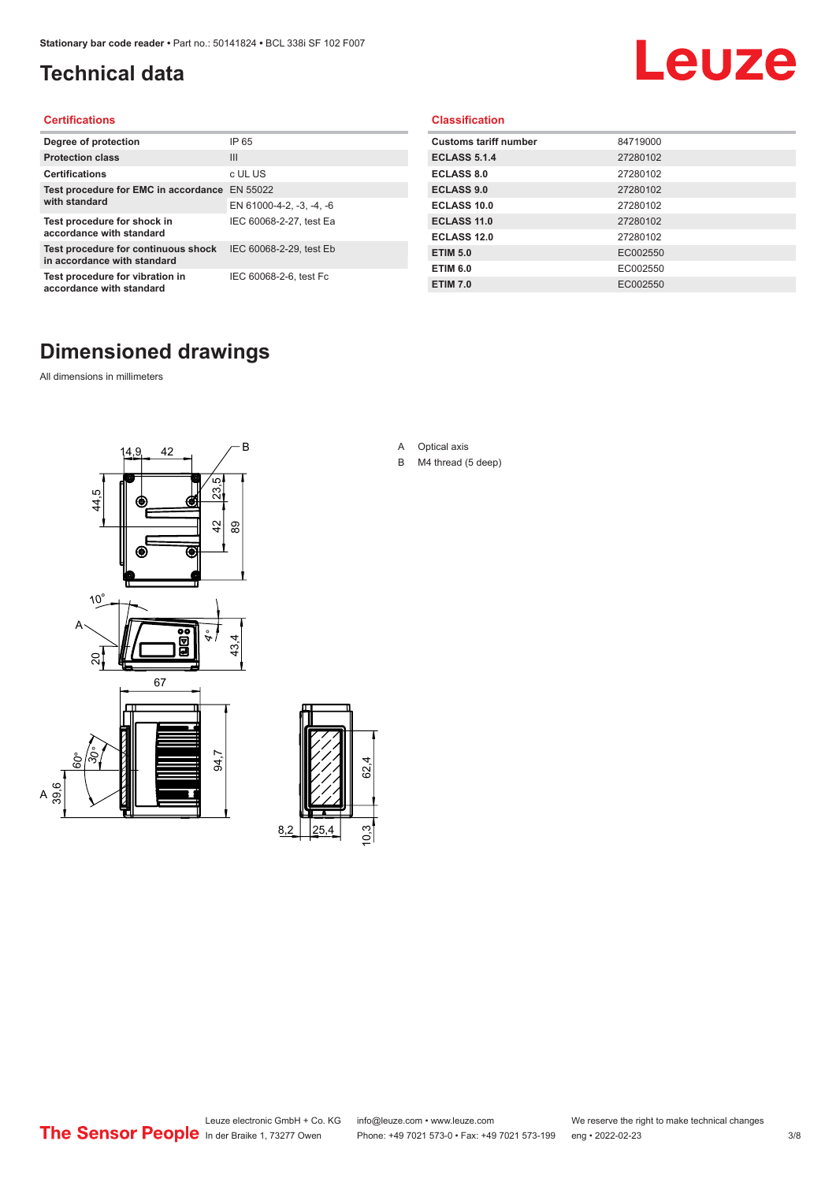### <span id="page-2-0"></span>**Technical data**

# Leuze

#### **Certifications**

| Degree of protection                                               | IP 65                    |
|--------------------------------------------------------------------|--------------------------|
| <b>Protection class</b>                                            | $\mathbf{III}$           |
| <b>Certifications</b>                                              | c UL US                  |
| Test procedure for EMC in accordance                               | EN 55022                 |
| with standard                                                      | EN 61000-4-2, -3, -4, -6 |
| Test procedure for shock in<br>accordance with standard            | IEC 60068-2-27, test Ea  |
| Test procedure for continuous shock<br>in accordance with standard | IEC 60068-2-29, test Eb  |
| Test procedure for vibration in<br>accordance with standard        | IEC 60068-2-6, test Fc   |

#### **Classification**

| <b>Customs tariff number</b> | 84719000 |
|------------------------------|----------|
| <b>ECLASS 5.1.4</b>          | 27280102 |
| <b>ECLASS 8.0</b>            | 27280102 |
| <b>ECLASS 9.0</b>            | 27280102 |
| ECLASS 10.0                  | 27280102 |
| <b>ECLASS 11.0</b>           | 27280102 |
| ECLASS 12.0                  | 27280102 |
| <b>ETIM 5.0</b>              | EC002550 |
| <b>ETIM 6.0</b>              | EC002550 |
| <b>ETIM 7.0</b>              | EC002550 |

### **Dimensioned drawings**

All dimensions in millimeters

 $\overline{A}$ 





- A Optical axis
- B M4 thread (5 deep)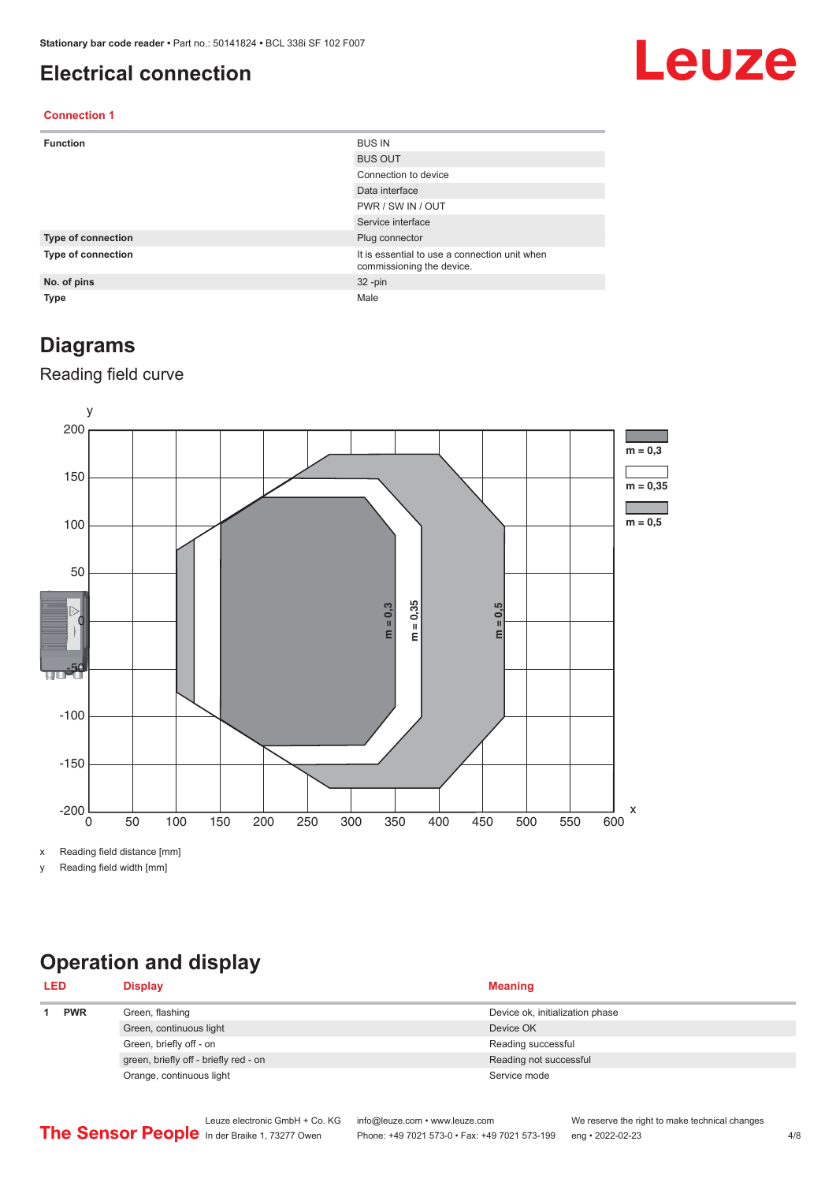#### <span id="page-3-0"></span>**Electrical connection**

## Leuze

#### **Connection 1**

| <b>Function</b>    | <b>BUS IN</b>                                                              |
|--------------------|----------------------------------------------------------------------------|
|                    | <b>BUS OUT</b>                                                             |
|                    | Connection to device                                                       |
|                    | Data interface                                                             |
|                    | PWR / SW IN / OUT                                                          |
|                    | Service interface                                                          |
| Type of connection | Plug connector                                                             |
| Type of connection | It is essential to use a connection unit when<br>commissioning the device. |
| No. of pins        | $32 - pin$                                                                 |
| Type               | Male                                                                       |

#### **Diagrams**

#### Reading field curve



x Reading field distance [mm]

y Reading field width [mm]

### **Operation and display**

| <b>LED</b> |  | <b>Display</b>                        | <b>Meaning</b>                  |
|------------|--|---------------------------------------|---------------------------------|
| <b>PWR</b> |  | Green, flashing                       | Device ok, initialization phase |
|            |  | Green, continuous light               | Device OK                       |
|            |  | Green, briefly off - on               | Reading successful              |
|            |  | green, briefly off - briefly red - on | Reading not successful          |
|            |  | Orange, continuous light              | Service mode                    |
|            |  |                                       |                                 |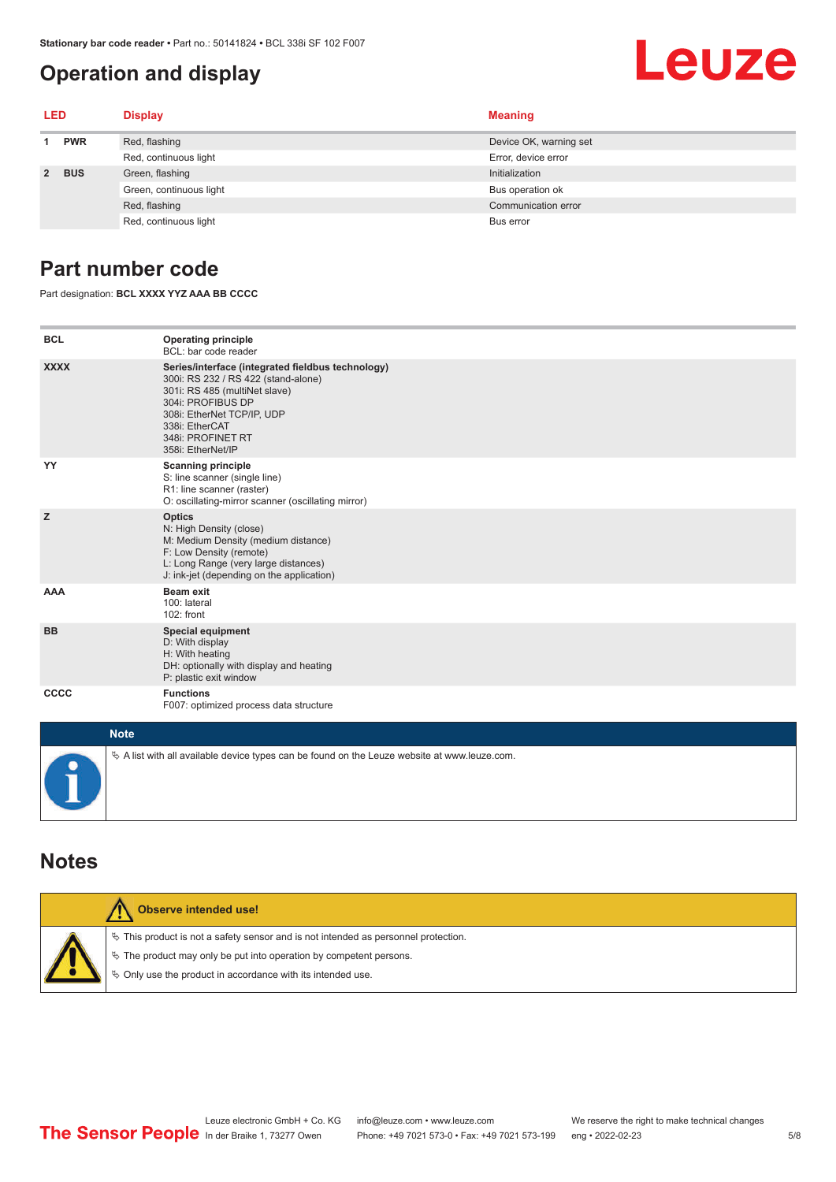#### <span id="page-4-0"></span>**Operation and display**

## Leuze

| <b>LED</b>  |            | <b>Display</b>          | <b>Meaning</b>         |
|-------------|------------|-------------------------|------------------------|
|             | <b>PWR</b> | Red, flashing           | Device OK, warning set |
|             |            | Red, continuous light   | Error, device error    |
| $2^{\circ}$ | <b>BUS</b> | Green, flashing         | Initialization         |
|             |            | Green, continuous light | Bus operation ok       |
|             |            | Red, flashing           | Communication error    |
|             |            | Red, continuous light   | Bus error              |

#### **Part number code**

Part designation: **BCL XXXX YYZ AAA BB CCCC**

| <b>BCL</b>  | <b>Operating principle</b><br>BCL: bar code reader                                                                                                                                                                                       |
|-------------|------------------------------------------------------------------------------------------------------------------------------------------------------------------------------------------------------------------------------------------|
| <b>XXXX</b> | Series/interface (integrated fieldbus technology)<br>300i: RS 232 / RS 422 (stand-alone)<br>301i: RS 485 (multiNet slave)<br>304i: PROFIBUS DP<br>308i: EtherNet TCP/IP, UDP<br>338i: EtherCAT<br>348i: PROFINET RT<br>358i: EtherNet/IP |
| YY          | <b>Scanning principle</b><br>S: line scanner (single line)<br>R1: line scanner (raster)<br>O: oscillating-mirror scanner (oscillating mirror)                                                                                            |
| z           | <b>Optics</b><br>N: High Density (close)<br>M: Medium Density (medium distance)<br>F: Low Density (remote)<br>L: Long Range (very large distances)<br>J: ink-jet (depending on the application)                                          |
| AAA         | <b>Beam exit</b><br>100: lateral<br>102: front                                                                                                                                                                                           |
| <b>BB</b>   | <b>Special equipment</b><br>D: With display<br>H: With heating<br>DH: optionally with display and heating<br>P: plastic exit window                                                                                                      |
| CCCC        | <b>Functions</b><br>F007: optimized process data structure                                                                                                                                                                               |
| $1.1 - 4.1$ |                                                                                                                                                                                                                                          |

| <b>Note</b>                                                                                  |
|----------------------------------------------------------------------------------------------|
| % A list with all available device types can be found on the Leuze website at www.leuze.com. |

#### **Notes**

| <b>Observe intended use!</b>                                                                                                                                                                                                  |
|-------------------------------------------------------------------------------------------------------------------------------------------------------------------------------------------------------------------------------|
| $\%$ This product is not a safety sensor and is not intended as personnel protection.<br>$\%$ The product may only be put into operation by competent persons.<br>₿ Only use the product in accordance with its intended use. |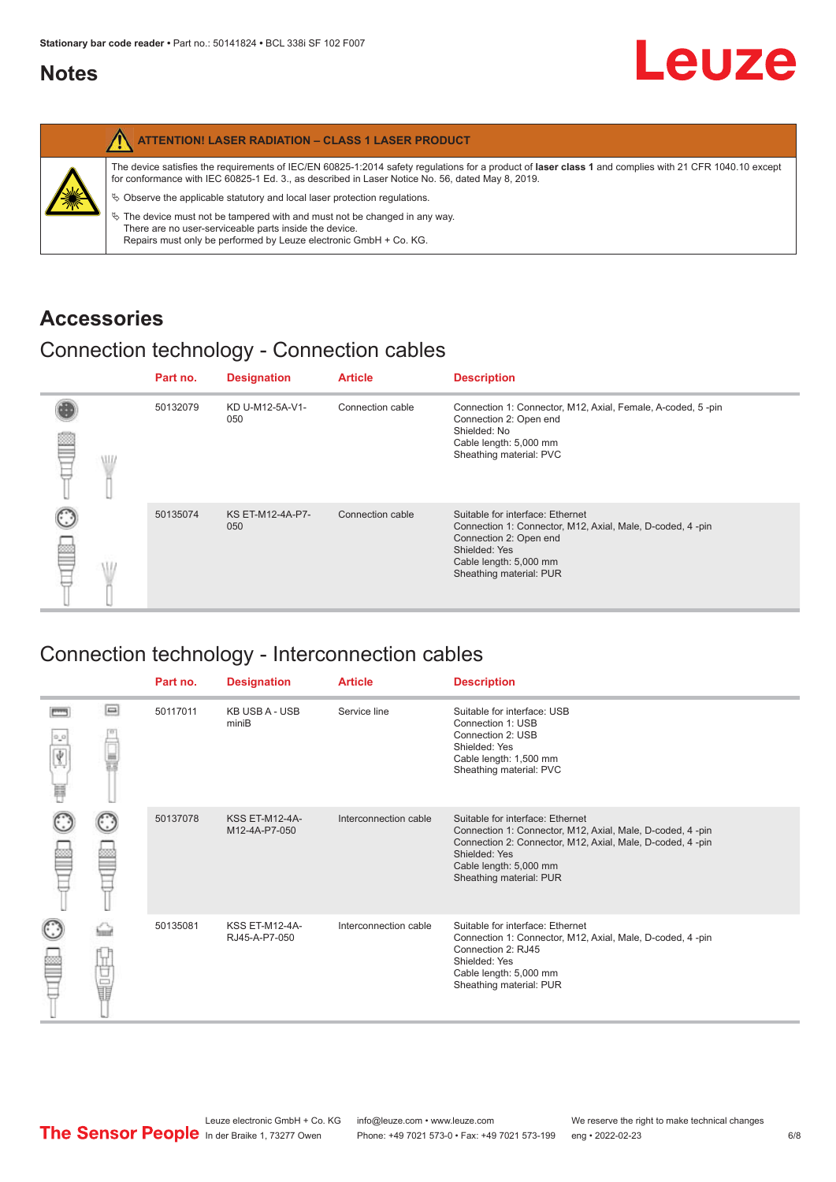#### <span id="page-5-0"></span>**Notes**

|   | <b>ATTENTION! LASER RADIATION - CLASS 1 LASER PRODUCT</b>                                                                                                                                                                                                  |
|---|------------------------------------------------------------------------------------------------------------------------------------------------------------------------------------------------------------------------------------------------------------|
|   | The device satisfies the requirements of IEC/EN 60825-1:2014 safety requlations for a product of laser class 1 and complies with 21 CFR 1040.10 except<br>for conformance with IEC 60825-1 Ed. 3., as described in Laser Notice No. 56, dated May 8, 2019. |
| 纂 | $\&$ Observe the applicable statutory and local laser protection regulations.                                                                                                                                                                              |
|   | $\%$ The device must not be tampered with and must not be changed in any way.<br>There are no user-serviceable parts inside the device.<br>Repairs must only be performed by Leuze electronic GmbH + Co. KG.                                               |

#### **Accessories**

#### Connection technology - Connection cables

|   |   | Part no. | <b>Designation</b>      | <b>Article</b>   | <b>Description</b>                                                                                                                                                                            |
|---|---|----------|-------------------------|------------------|-----------------------------------------------------------------------------------------------------------------------------------------------------------------------------------------------|
| ≝ | W | 50132079 | KD U-M12-5A-V1-<br>050  | Connection cable | Connection 1: Connector, M12, Axial, Female, A-coded, 5-pin<br>Connection 2: Open end<br>Shielded: No<br>Cable length: 5,000 mm<br>Sheathing material: PVC                                    |
|   |   | 50135074 | KS ET-M12-4A-P7-<br>050 | Connection cable | Suitable for interface: Ethernet<br>Connection 1: Connector, M12, Axial, Male, D-coded, 4-pin<br>Connection 2: Open end<br>Shielded: Yes<br>Cable length: 5,000 mm<br>Sheathing material: PUR |

### Connection technology - Interconnection cables

|                           |                                                                                                                                                                                                                                | Part no. | <b>Designation</b>                     | <b>Article</b>        | <b>Description</b>                                                                                                                                                                                                               |
|---------------------------|--------------------------------------------------------------------------------------------------------------------------------------------------------------------------------------------------------------------------------|----------|----------------------------------------|-----------------------|----------------------------------------------------------------------------------------------------------------------------------------------------------------------------------------------------------------------------------|
| $\frac{1}{\sqrt{2}}$<br>Ħ | $\Box$                                                                                                                                                                                                                         | 50117011 | <b>KB USB A - USB</b><br>miniB         | Service line          | Suitable for interface: USB<br>Connection 1: USB<br>Connection 2: USB<br>Shielded: Yes<br>Cable length: 1,500 mm<br>Sheathing material: PVC                                                                                      |
|                           |                                                                                                                                                                                                                                | 50137078 | <b>KSS ET-M12-4A-</b><br>M12-4A-P7-050 | Interconnection cable | Suitable for interface: Ethernet<br>Connection 1: Connector, M12, Axial, Male, D-coded, 4-pin<br>Connection 2: Connector, M12, Axial, Male, D-coded, 4-pin<br>Shielded: Yes<br>Cable length: 5,000 mm<br>Sheathing material: PUR |
|                           | the filled the control in the control in the control in the control in the control in the control in the control in the control in the control in the control in the control in the control in the control in the control in t | 50135081 | <b>KSS ET-M12-4A-</b><br>RJ45-A-P7-050 | Interconnection cable | Suitable for interface: Ethernet<br>Connection 1: Connector, M12, Axial, Male, D-coded, 4-pin<br>Connection 2: RJ45<br>Shielded: Yes<br>Cable length: 5,000 mm<br>Sheathing material: PUR                                        |

Leuze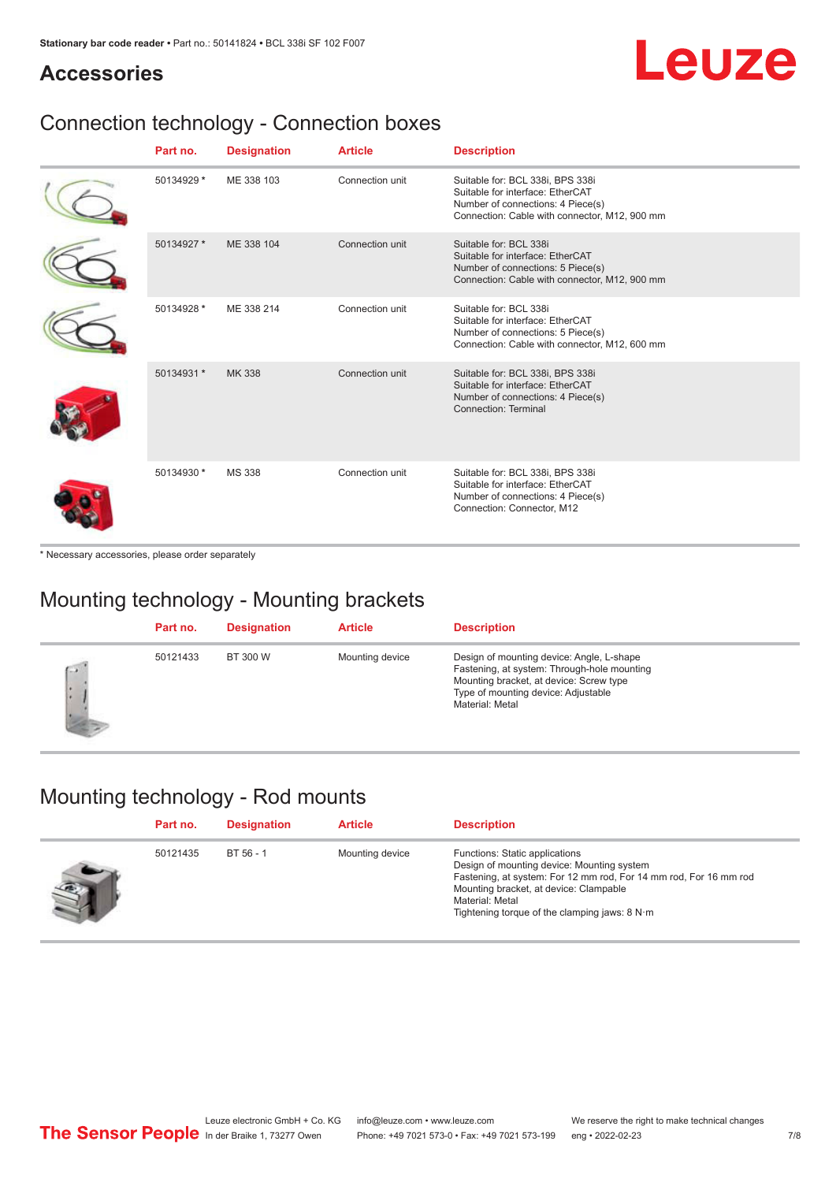## Leuze

#### **Accessories**

### Connection technology - Connection boxes

| Part no.   | <b>Designation</b> | <b>Article</b>  | <b>Description</b>                                                                                                                                         |
|------------|--------------------|-----------------|------------------------------------------------------------------------------------------------------------------------------------------------------------|
| 50134929 * | ME 338 103         | Connection unit | Suitable for: BCL 338i, BPS 338i<br>Suitable for interface: EtherCAT<br>Number of connections: 4 Piece(s)<br>Connection: Cable with connector, M12, 900 mm |
| 50134927 * | ME 338 104         | Connection unit | Suitable for: BCL 338i<br>Suitable for interface: EtherCAT<br>Number of connections: 5 Piece(s)<br>Connection: Cable with connector, M12, 900 mm           |
| 50134928 * | ME 338 214         | Connection unit | Suitable for: BCL 338i<br>Suitable for interface: EtherCAT<br>Number of connections: 5 Piece(s)<br>Connection: Cable with connector, M12, 600 mm           |
| 50134931 * | MK 338             | Connection unit | Suitable for: BCL 338i, BPS 338i<br>Suitable for interface: EtherCAT<br>Number of connections: 4 Piece(s)<br>Connection: Terminal                          |
| 50134930 * | <b>MS 338</b>      | Connection unit | Suitable for: BCL 338i, BPS 338i<br>Suitable for interface: EtherCAT<br>Number of connections: 4 Piece(s)<br>Connection: Connector, M12                    |

\* Necessary accessories, please order separately

#### Mounting technology - Mounting brackets

|        | Part no. | <b>Designation</b> | <b>Article</b>  | <b>Description</b>                                                                                                                                                                            |
|--------|----------|--------------------|-----------------|-----------------------------------------------------------------------------------------------------------------------------------------------------------------------------------------------|
| œ<br>٠ | 50121433 | BT 300 W           | Mounting device | Design of mounting device: Angle, L-shape<br>Fastening, at system: Through-hole mounting<br>Mounting bracket, at device: Screw type<br>Type of mounting device: Adjustable<br>Material: Metal |

#### Mounting technology - Rod mounts

| Part no. | <b>Designation</b> | <b>Article</b>  | <b>Description</b>                                                                                                                                                                                                                                                |
|----------|--------------------|-----------------|-------------------------------------------------------------------------------------------------------------------------------------------------------------------------------------------------------------------------------------------------------------------|
| 50121435 | BT 56 - 1          | Mounting device | Functions: Static applications<br>Design of mounting device: Mounting system<br>Fastening, at system: For 12 mm rod, For 14 mm rod, For 16 mm rod<br>Mounting bracket, at device: Clampable<br>Material: Metal<br>Tightening torque of the clamping jaws: $8 N·m$ |